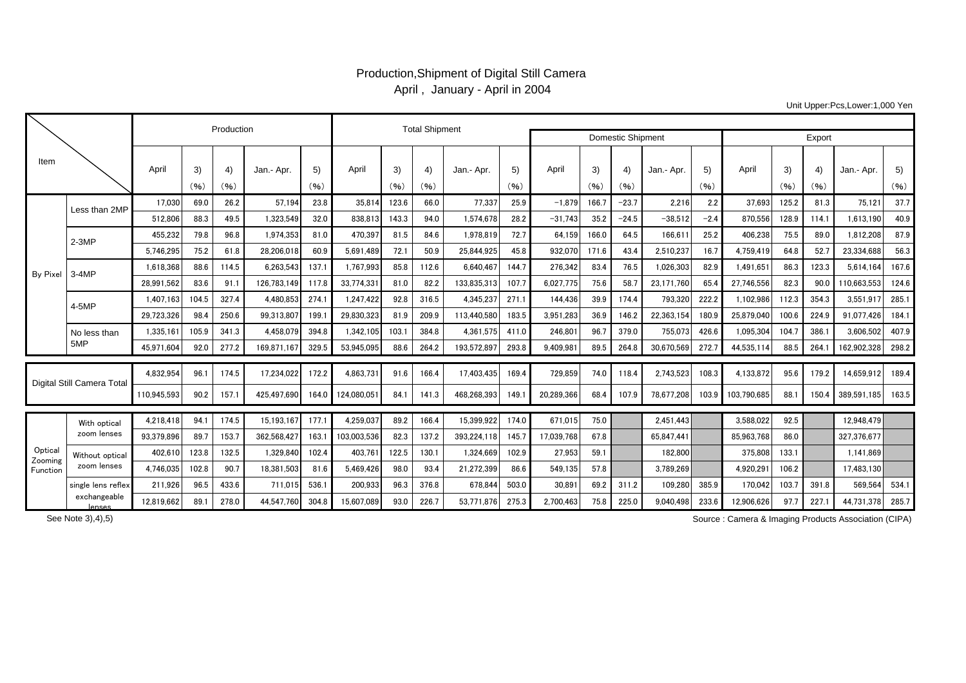## Production,Shipment of Digital Still Camera April , January - April in 2004

Unit Upper:Pcs,Lower:1,000 Yen

|                                |                                |             | Production |            | <b>Total Shipment</b> |            |             |            |            |             |            |            |                          |            |            |            |             |            |            |                  |            |
|--------------------------------|--------------------------------|-------------|------------|------------|-----------------------|------------|-------------|------------|------------|-------------|------------|------------|--------------------------|------------|------------|------------|-------------|------------|------------|------------------|------------|
|                                |                                |             |            |            |                       |            |             |            |            |             |            |            | <b>Domestic Shipment</b> | Export     |            |            |             |            |            |                  |            |
| Item                           |                                | April       | 3)<br>(96) | 4)<br>(96) | Jan.- Apr             | 5)<br>(96) | Apri        | 3)<br>(96) | 4)<br>(96) | Jan.- Apr.  | 5)<br>(96) | April      | 3)<br>(96)               | 4)<br>(96) | Jan.- Apr. | 5)<br>(96) | April       | 3)<br>(96) | 4)<br>(96) | Jan.- Apr.       | 5)<br>(96) |
| By Pixel                       | Less than 2MP                  | 17,030      | 69.0       | 26.2       | 57,194                | 23.8       | 35,814      | 123.6      | 66.0       | 77,337      | 25.9       | $-1,879$   | 166.7                    | $-23.7$    | 2,216      | 2.2        | 37,693      | 125.2      | 81.3       | 75,121           | 37.7       |
|                                |                                | 512.806     | 88.3       | 49.5       | 1.323.549             | 32.0       | 838.813     | 143.3      | 94.0       | 1.574.678   | 28.2       | $-31.743$  | 35.2                     | $-24.5$    | $-38.512$  | $-2.4$     | 870.556     | 128.9      | 114.1      | 1.613.190        | 40.9       |
|                                | $2-3MP$                        | 455,232     | 79.8       | 96.8       | 1,974,353             | 81.0       | 470,397     | 81.5       | 84.6       | 1,978,819   | 72.7       | 64,159     | 166.0                    | 64.5       | 166,611    | 25.2       | 406,238     | 75.5       | 89.0       | 1,812,208        | 87.9       |
|                                |                                | 5.746.295   | 75.2       | 61.8       | 28.206.018            | 60.9       | 5.691.489   | 72.1       | 50.9       | 25.844.925  | 45.8       | 932.070    | 171.6                    | 43.4       | 2.510.237  | 16.7       | 4.759.419   | 64.8       | 52.7       | 23.334.688       | 56.3       |
|                                | $3-4MP$                        | 1.618.368   | 88.6       | 114.5      | 6.263.543             | 137.1      | 1.767.993   | 85.8       | 112.6      | 6.640.467   | 144.7      | 276.342    | 83.4                     | 76.5       | 1.026.303  | 82.9       | 1.491.651   | 86.3       | 123.3      | 5.614.164        | 167.6      |
|                                |                                | 28.991.562  | 83.6       | 91.1       | 126.783.149           | 117.8      | 33.774.331  | 81.0       | 82.2       | 133.835.313 | 107.7      | 6.027.775  | 75.6                     | 58.7       | 23.171.760 | 65.4       | 27.746.556  | 82.3       | 90.0       | 110.663.553      | 124.6      |
|                                | 4-5MP                          | 1.407.163   | 104.5      | 327.4      | 4.480.853             | 274.1      | 1.247.422   | 92.8       | 316.5      | 4.345.237   | 271.1      | 144,436    | 39.9                     | 174.4      | 793,320    | 222.2      | 1,102,986   | 112.3      | 354.3      | 3.551.917        | 285.1      |
|                                |                                | 29,723,326  | 98.4       | 250.6      | 99,313,807            | 199.       | 29,830,323  | 81.9       | 209.9      | 113,440,580 | 183.5      | 3,951,283  | 36.9                     | 146.2      | 22,363,154 | 180.9      | 25,879,040  | 100.6      | 224.9      | 91.077.426       | 184.1      |
|                                | No less than<br>5MP            | 1.335.161   | 105.9      | 341.3      | 4.458.079             | 394.8      | 1.342.105   | 103.       | 384.8      | 4.361.575   | 411.0      | 246.801    | 96.7                     | 379.0      | 755.073    | 426.6      | 1,095,304   | 104.7      | 386.1      | 3.606.502        | 407.9      |
|                                |                                | 45,971,604  | 92.0       | 277.2      | 169,871,167           | 329.5      | 53,945,095  | 88.6       | 264.2      | 193,572,897 | 293.8      | 9,409,98   | 89.5                     | 264.8      | 30,670,569 | 272.7      | 44,535,114  | 88.5       | 264.1      | 162,902,328      | 298.2      |
| Digital Still Camera Total     |                                | 4.832.954   | 96.        | 174.5      | 17.234.022            | 172.2      | 4.863.731   | 91.6       | 166.4      | 17.403.435  | 169.4      | 729.859    | 74.0                     | 118.4      | 2.743.523  | 108.3      | 4,133,872   | 95.6       | 179.2      | 14.659.912       | 189.4      |
|                                |                                | 110,945,593 | 90.2       | 157.1      | 425,497,690           | 164.0      | 124.080.051 | 84.1       | 141.3      | 468.268.393 | 149.       | 20,289,366 | 68.4                     | 107.9      | 78.677.208 | 103.9      | 103,790,685 | 88.1       | 150.4      | 389,591,185      | 163.5      |
| Optical<br>Zooming<br>Function | With optical<br>zoom lenses    | 4,218,418   | 94.        | 174.5      | 15,193,167            | 177.1      | 4.259.037   | 89.2       | 166.4      | 15.399.922  | 174.0      | 671.015    | 75.0                     |            | 2.451.443  |            | 3,588,022   | 92.5       |            | 12.948.479       |            |
|                                |                                | 93,379,896  | 89.7       | 153.7      | 362,568,427           | 163.1      | 103,003,536 | 82.3       | 137.2      | 393.224.118 | 145.7      | 17,039,768 | 67.8                     |            | 65.847.441 |            | 85,963,768  | 86.0       |            | 327,376,677      |            |
|                                | Without optical<br>zoom lenses | 402.610     | 123.8      | 132.5      | 1,329,840             | 102.4      | 403.761     | 122.5      | 130.1      | 1.324.669   | 102.9      | 27,953     | 59.1                     |            | 182.800    |            | 375,808     | 133.1      |            | 1.141.869        |            |
|                                |                                | 4,746,035   | 102.8      | 90.7       | 18,381,503            | 81.6       | 5,469,426   | 98.0       | 93.4       | 21,272,399  | 86.6       | 549,135    | 57.8                     |            | 3,789,269  |            | 4,920,291   | 106.2      |            | 17,483,130       |            |
|                                | single lens reflex             | 211,926     | 96.5       | 433.6      | 711,015               | 536.1      | 200,933     | 96.3       | 376.8      | 678,844     | 503.0      | 30,89      | 69.2                     | 311.2      | 109,280    | 385.9      | 170,042     | 103.7      | 391.8      | 569,564          | 534.1      |
|                                | exchangeable<br>lenses         | 12,819,662  | 89.        | 278.0      | 44.547.760            | 304.8      | 15.607.089  | 93.0       | 226.7      | 53,771,876  | 275.3      | 2.700.463  | 75.8                     | 225.0      | 9.040.498  | 233.6      | 12.906.626  | 97.7       | 227.1      | 44,731,378 285.7 |            |

See Note 3),4),5)

Source : Camera & Imaging Products Association (CIPA)